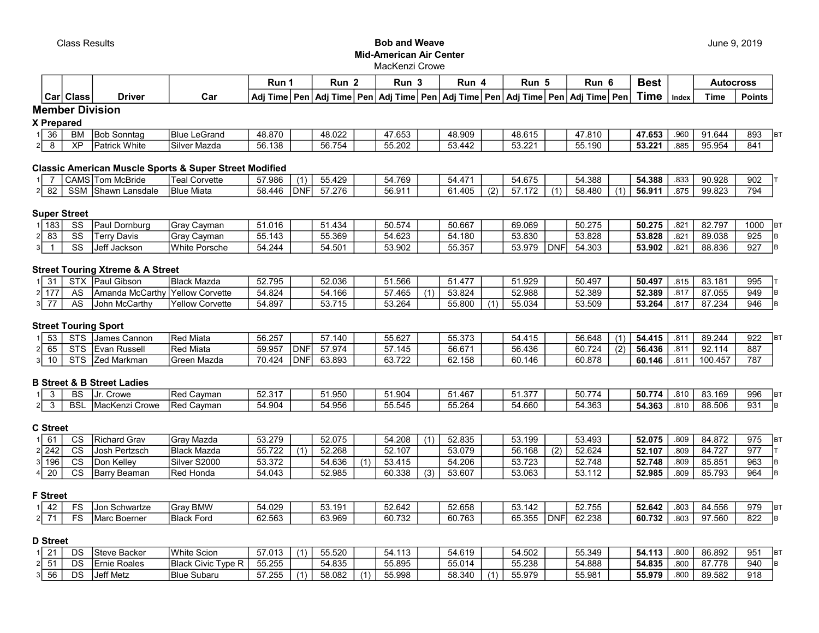### **Class Results Class Results Class Results** Mid-American Air Center MacKenzi Crowe

|                      |        |     | Run        |             | Run      |        | Run             |      | Run          |     | Run                | Run                   | ю | Best |       | <b>Autocross</b> |               |
|----------------------|--------|-----|------------|-------------|----------|--------|-----------------|------|--------------|-----|--------------------|-----------------------|---|------|-------|------------------|---------------|
| <b>Class</b><br>Carl | Driver | Caı | Adi Time ! | <b>Dani</b> | Adi Time | i Pen' | <b>Adi Time</b> | Penl | l Adi Time l | Pen | <b>∖Adi Time</b> ⊺ | ∣Pen   Adi Time   Pen |   | Time | Index | Time             | <b>Points</b> |

Member Division

X Prepared

| 36                 | <b>BN</b> | <b>IBob</b><br>Sonntad     | <sup>1</sup> Blue<br>LeGrand | 48.870                | 48.022 | $ -$<br><sub>n</sub><br>77. UJ | 48.909                       | 48.615         | 17.810<br>4 | 47.653 | nan<br>$\sim$ | 91.644 | 893 | lB. |
|--------------------|-----------|----------------------------|------------------------------|-----------------------|--------|--------------------------------|------------------------------|----------------|-------------|--------|---------------|--------|-----|-----|
| <sup>o</sup><br>C. | XF        | White<br>$-$<br>l LJ へ † ≀ | Silve<br>Mazda               | 138<br>$ \sim$<br>OC. | 56.754 | 55.202                         | $\overline{A}$<br>442<br>JU. | E2001<br>33.ZZ | 55.190      | 53.221 | .885          | 95.954 | 841 |     |

# Classic American Muscle Sports & Super Street Modified

| 10111017               | McBride<br>שור                 | ำrvette<br>l eal<br>ັບ | 57.986 | 55.429 | 769<br>. | $\overline{1}$<br>54.47 |     | $\lambda$ 675<br>- 94.YO | 4.388       | 54.388                | .833 | 90.928 | 902 |
|------------------------|--------------------------------|------------------------|--------|--------|----------|-------------------------|-----|--------------------------|-------------|-----------------------|------|--------|-----|
| <b>SSM</b><br>ററ<br>82 | <sup>I</sup> Shawn<br>∟ansdale | Blue Miata             | 58.446 | 57.276 | 56.911   | ' 405، ر                | (2) | 170<br>$\mathcal{L}$     | .480<br>r o | <b>EC 044</b><br>ວ໐.૭ | .875 | 99.823 | 794 |

# Super Street

| 183 <sub>1</sub> | $\sim$<br>53 | Dornburg<br>au    | Cavman<br>Grav  | 51.016         | 1.434  | 50.574 | 50.667 | 69.069 | 50.275              | 50.275 | $\sim$<br>ے¤. | 82.797 | 1000<br>IB7 |
|------------------|--------------|-------------------|-----------------|----------------|--------|--------|--------|--------|---------------------|--------|---------------|--------|-------------|
|                  | SS           | Davis<br>. Lerr   | ∵Cavman<br>ravٺ | 55.143<br>ັບບ. | 55.369 | 54.623 | 54.180 | 53.830 | 53.828              | 53.828 | .821          | 89.038 | 925         |
| J١               | SS           | ا Jeff<br>lackson | White Porsche   | 34.244         | 54.501 | 53.902 | 55.357 | 53.979 | 4.303<br>DNF<br>-04 | 53.902 | .821          | 88.836 | 927<br>IB.  |

## Street Touring Xtreme & A Street

|            | <b>CTY</b><br>ັ | Gibson<br>ID <sub>2</sub>     | <b>Black Mazda</b>   | 52.795 | 52.036             | 51.566 | 4.77             | 51.929             | 50.497 | 50.497 | .815        | 83.181 | 995 |
|------------|-----------------|-------------------------------|----------------------|--------|--------------------|--------|------------------|--------------------|--------|--------|-------------|--------|-----|
| $\sim$ 177 | AS              | <sub>⊶⊔</sub> ua McCarth∨ '`´ | Corvette<br>Yellow   | 54.824 | 4.166<br>54.       | .465   | 53.824           | 52.988             | 52.389 | 52.389 | .817        | 87.055 | 949 |
| --         | AS.             | McCarthy<br>John              | Yellow \<br>Corvette | 54.897 | 53715<br>ו.ט-<br>ື | 53.264 | EE OOC<br>55.8UI | $\cdots$<br>55.034 | 53.509 | 53.264 | 047<br>.01' | 87.234 | 946 |

## Street Touring Sport

| . ככי | CTC<br>ت ا ت | James Cannor       | Red Miata      | 56.257 |                               | 57.140 | 55.627 | 55.373 | <b>EA 415</b><br>54.41 | 56.648 |     | 54.415 | .81           | 89.244  | 922 |
|-------|--------------|--------------------|----------------|--------|-------------------------------|--------|--------|--------|------------------------|--------|-----|--------|---------------|---------|-----|
| כס ו∠ | CTC<br>১।১   | Evan Russell       | Red Miata      | 59.957 | <b>DNF</b>                    | 57.974 | 57.145 | 56.671 | 56.436                 | 60.724 | (2) | 56.436 | $.81^{\circ}$ | 92.114  | 887 |
| 10    | CTC<br>১।১   | <b>Zed Markmar</b> | Mazda<br>Green | 70.424 | <sup>1</sup> DNF <sub>1</sub> | 63.893 | 63.722 | 62.158 | 60.146<br>υυ.          | 60.878 |     | 60.146 | .81           | 100.457 | 787 |

## B Street & B Street Ladies

| $\cdot$ . |           | $\Gamma$<br>DC | Crowe<br>וטו             | <b>IReg</b><br>Cavman | 52.317 | 51.950 | 51.904 | 51.467 | $-1$ $-$<br>، د. ۱ | 50.774       | 50.774 | .810 | 83.169<br>. გა | 996 | B. |
|-----------|-----------|----------------|--------------------------|-----------------------|--------|--------|--------|--------|--------------------|--------------|--------|------|----------------|-----|----|
|           | $\cdot$ . | <b>BS</b>      | <b>IMacKenz</b><br>;rowe | <b>IRec</b><br>نavman | 4.904  | 54.956 | 55.545 | 55.264 | 54.660             | 4.363<br>-54 | 54.363 | .810 | 88.506         | 931 | ים |

### C Street

| CА.    | $\sim$<br>v | ⊥Richard Grav         | IGrav Mazda         | 53.279 | 52.075 | 54.208 |     | 52.835 | 53.199 |     | 53.493 | 52.075 | .809        | 84.872 | 975   | lB. |
|--------|-------------|-----------------------|---------------------|--------|--------|--------|-----|--------|--------|-----|--------|--------|-------------|--------|-------|-----|
| 21 242 | $\sim$      | <b>IJosh Pertzsch</b> | <b>Black Mazda</b>  | 55.722 | 52.268 | 52.107 |     | 53.079 | 56.168 | (2) | 52.624 | 52.107 | .809        | 84.727 | - Q77 |     |
| 196    | $\sim$<br>v | <b>IDon Kellev</b>    | S2000<br>Ciluar     | 53.372 | 54.636 | 53.415 |     | 54.206 | 53.723 |     | 52.748 | 52.748 | 000<br>.8U9 | 85.85  | 963   |     |
| 20     | $\sim$<br>v | <b>IBarry Beaman</b>  | Honda<br><b>Red</b> | 54.043 | 52.985 | 60.338 | (3) | 53.607 | 53.063 |     | 53.112 | 52.985 | 000<br>.8U9 | 85.793 | 964   |     |

# F Street

| $\sim$<br>44 | $\Gamma$<br>- ' | Schwartze<br>nJor.      | <b>DAMA</b><br>Grav<br><b>BMM</b>                | 000<br>. 029 | 53.191 | 52.642 | ro ere<br>52.656 | $ \sim$<br>142<br>vv.                             | ےت               | こつ フロロ<br>ັບປ | 52.642 | .803        | $0.1$ FFC<br>. 556<br>64. | <b>Q70</b><br>ت ا ت | IB <sup>7</sup> |
|--------------|-----------------|-------------------------|--------------------------------------------------|--------------|--------|--------|------------------|---------------------------------------------------|------------------|---------------|--------|-------------|---------------------------|---------------------|-----------------|
|              | $ \sim$         | <b>IMarc</b><br>Boerner | $\overline{\phantom{0}}$<br><b>Black</b><br>Ford | 62.563       | 63.969 | 60.732 | 60.763           | $\sim$ $\sim$ $\sim$ $\sim$<br>ストト<br>ົ<br>ບບ.ບບບ | <b>DNF</b><br>n/ | 62.238<br>້   | 60.732 | 002<br>.ouə | 97.560                    | 822                 | IR.             |

## D Street

|    | DS | <b>Steve Backer</b>       | <b>White Scion</b>           | 57.013 | $\overline{ }$ | 55.520 | 54.113 | 54.619 | 54.502 | 55.349 | 54.113 | .800 | 86.892 | 951 | IB1 |
|----|----|---------------------------|------------------------------|--------|----------------|--------|--------|--------|--------|--------|--------|------|--------|-----|-----|
|    | DS | Roales<br>Ernie           | Civic Type<br><b>Black L</b> | 55.255 |                | 54.835 | 55.895 | 55.014 | 55.238 | 54.888 | 54.835 | .800 | 87.778 | 940 | IB. |
| 56 | DS | <b>Jeff Metz</b><br>ווסט. | 'Blue<br>Subaru              | 57.255 |                | 58.082 | 55.998 | 58.340 | 55.979 | 55.981 | 55.979 | .800 | 89.582 | 918 |     |